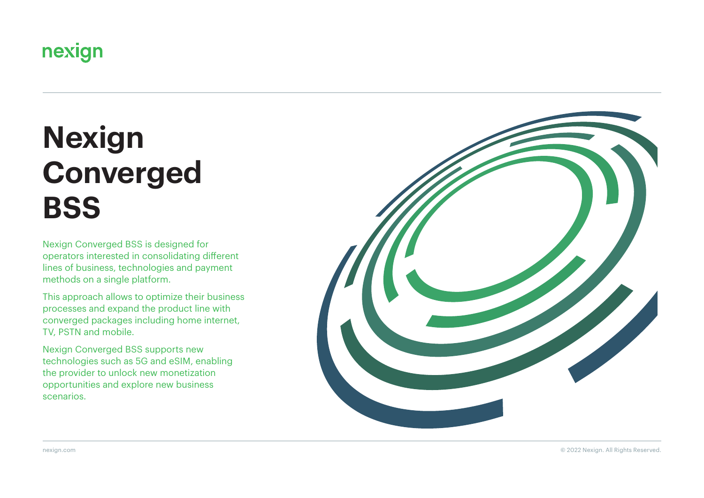

# **Nexign Converged BSS**

Nexign Converged BSS is designed for operators interested in consolidating different lines of business, technologies and payment methods on a single platform.

This approach allows to optimize their business processes and expand the product line with converged packages including home internet, TV, PSTN and mobile.

Nexign Converged BSS supports new technologies such as 5G and eSIM, enabling the provider to unlock new monetization opportunities and explore new business scenarios.

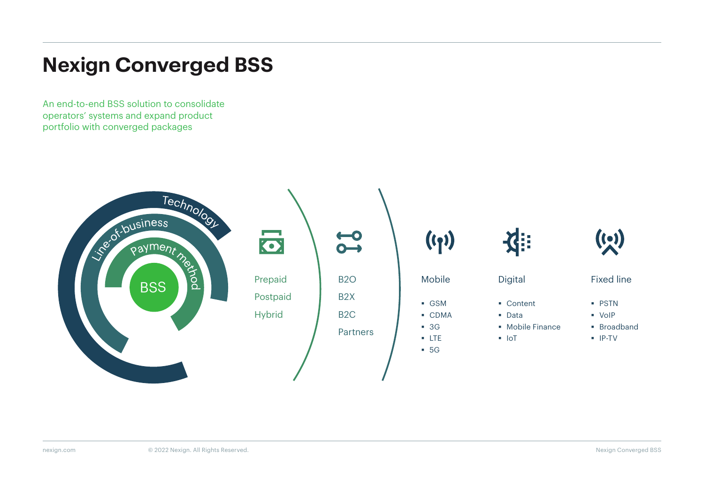## **Nexign Converged BSS**

An end-to-end BSS solution to consolidate operators' systems and expand product portfolio with converged packages

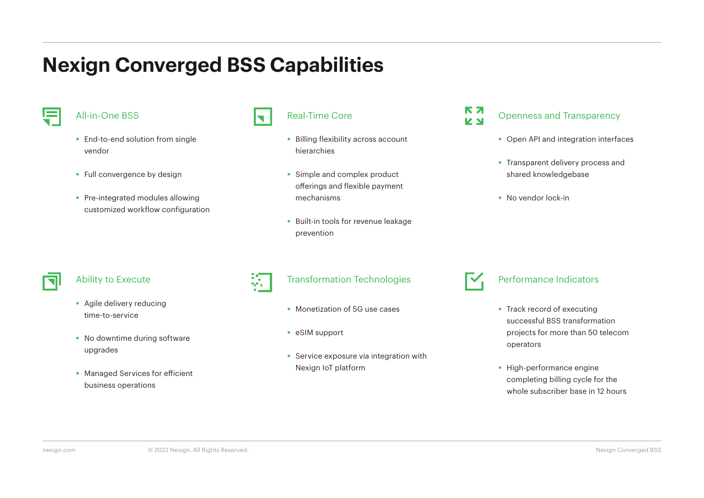## **Nexign Converged BSS Capabilities**



- **End-to-end solution from single** vendor
- **Full convergence by design**
- **Pre-integrated modules allowing** customized workflow configuration

- **Billing flexibility across account** hierarchies
- **Simple and complex product** offerings and flexible payment mechanisms
- **Built-in tools for revenue leakage** prevention

### All-in-One BSS **Real-Time Core Core Core Core Core Core Core Core Core Core Core Core C C C C** Openness and Transparency

- **Open API and integration interfaces**
- **Transparent delivery process and** shared knowledgebase
- No vendor lock-in

- **Agile delivery reducing** time-to-service
- No downtime during software upgrades
- **Managed Services for efficient** business operations



### Ability to Execute **Transformation Technologies Performance Indicators**

- **Monetization of 5G use cases**
- eSIM support
- **Service exposure via integration with** Nexign IoT platform

- **Track record of executing** successful BSS transformation projects for more than 50 telecom operators
- **High-performance engine** completing billing cycle for the whole subscriber base in 12 hours